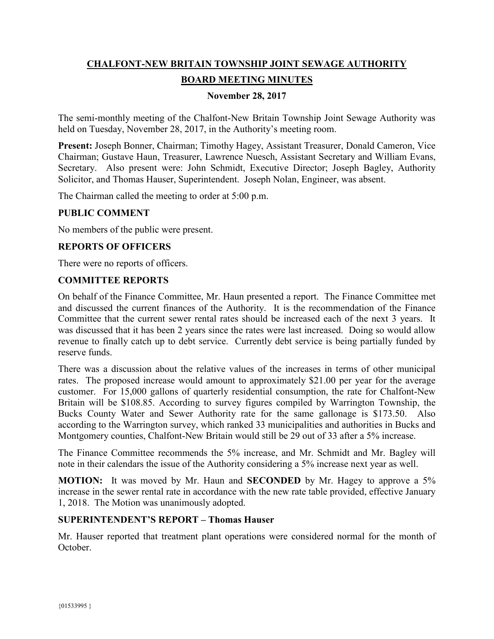# **CHALFONT-NEW BRITAIN TOWNSHIP JOINT SEWAGE AUTHORITY BOARD MEETING MINUTES**

# **November 28, 2017**

The semi-monthly meeting of the Chalfont-New Britain Township Joint Sewage Authority was held on Tuesday, November 28, 2017, in the Authority's meeting room.

**Present:** Joseph Bonner, Chairman; Timothy Hagey, Assistant Treasurer, Donald Cameron, Vice Chairman; Gustave Haun, Treasurer, Lawrence Nuesch, Assistant Secretary and William Evans, Secretary. Also present were: John Schmidt, Executive Director; Joseph Bagley, Authority Solicitor, and Thomas Hauser, Superintendent. Joseph Nolan, Engineer, was absent.

The Chairman called the meeting to order at 5:00 p.m.

#### **PUBLIC COMMENT**

No members of the public were present.

# **REPORTS OF OFFICERS**

There were no reports of officers.

#### **COMMITTEE REPORTS**

On behalf of the Finance Committee, Mr. Haun presented a report. The Finance Committee met and discussed the current finances of the Authority. It is the recommendation of the Finance Committee that the current sewer rental rates should be increased each of the next 3 years. It was discussed that it has been 2 years since the rates were last increased. Doing so would allow revenue to finally catch up to debt service. Currently debt service is being partially funded by reserve funds.

There was a discussion about the relative values of the increases in terms of other municipal rates. The proposed increase would amount to approximately \$21.00 per year for the average customer. For 15,000 gallons of quarterly residential consumption, the rate for Chalfont-New Britain will be \$108.85. According to survey figures compiled by Warrington Township, the Bucks County Water and Sewer Authority rate for the same gallonage is \$173.50. Also according to the Warrington survey, which ranked 33 municipalities and authorities in Bucks and Montgomery counties, Chalfont-New Britain would still be 29 out of 33 after a 5% increase.

The Finance Committee recommends the 5% increase, and Mr. Schmidt and Mr. Bagley will note in their calendars the issue of the Authority considering a 5% increase next year as well.

**MOTION:** It was moved by Mr. Haun and **SECONDED** by Mr. Hagey to approve a 5% increase in the sewer rental rate in accordance with the new rate table provided, effective January 1, 2018. The Motion was unanimously adopted.

#### **SUPERINTENDENT'S REPORT – Thomas Hauser**

Mr. Hauser reported that treatment plant operations were considered normal for the month of October.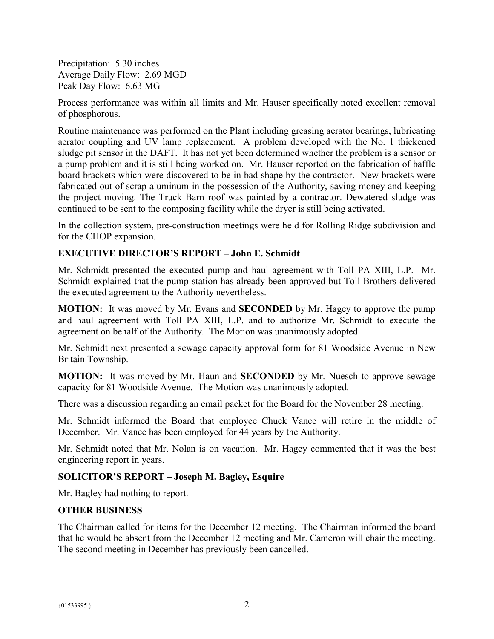Precipitation: 5.30 inches Average Daily Flow: 2.69 MGD Peak Day Flow: 6.63 MG

Process performance was within all limits and Mr. Hauser specifically noted excellent removal of phosphorous.

Routine maintenance was performed on the Plant including greasing aerator bearings, lubricating aerator coupling and UV lamp replacement. A problem developed with the No. 1 thickened sludge pit sensor in the DAFT. It has not yet been determined whether the problem is a sensor or a pump problem and it is still being worked on. Mr. Hauser reported on the fabrication of baffle board brackets which were discovered to be in bad shape by the contractor. New brackets were fabricated out of scrap aluminum in the possession of the Authority, saving money and keeping the project moving. The Truck Barn roof was painted by a contractor. Dewatered sludge was continued to be sent to the composing facility while the dryer is still being activated.

In the collection system, pre-construction meetings were held for Rolling Ridge subdivision and for the CHOP expansion.

# **EXECUTIVE DIRECTOR'S REPORT – John E. Schmidt**

Mr. Schmidt presented the executed pump and haul agreement with Toll PA XIII, L.P. Mr. Schmidt explained that the pump station has already been approved but Toll Brothers delivered the executed agreement to the Authority nevertheless.

**MOTION:** It was moved by Mr. Evans and **SECONDED** by Mr. Hagey to approve the pump and haul agreement with Toll PA XIII, L.P. and to authorize Mr. Schmidt to execute the agreement on behalf of the Authority. The Motion was unanimously adopted.

Mr. Schmidt next presented a sewage capacity approval form for 81 Woodside Avenue in New Britain Township.

**MOTION:** It was moved by Mr. Haun and **SECONDED** by Mr. Nuesch to approve sewage capacity for 81 Woodside Avenue. The Motion was unanimously adopted.

There was a discussion regarding an email packet for the Board for the November 28 meeting.

Mr. Schmidt informed the Board that employee Chuck Vance will retire in the middle of December. Mr. Vance has been employed for 44 years by the Authority.

Mr. Schmidt noted that Mr. Nolan is on vacation. Mr. Hagey commented that it was the best engineering report in years.

# **SOLICITOR'S REPORT – Joseph M. Bagley, Esquire**

Mr. Bagley had nothing to report.

#### **OTHER BUSINESS**

The Chairman called for items for the December 12 meeting. The Chairman informed the board that he would be absent from the December 12 meeting and Mr. Cameron will chair the meeting. The second meeting in December has previously been cancelled.